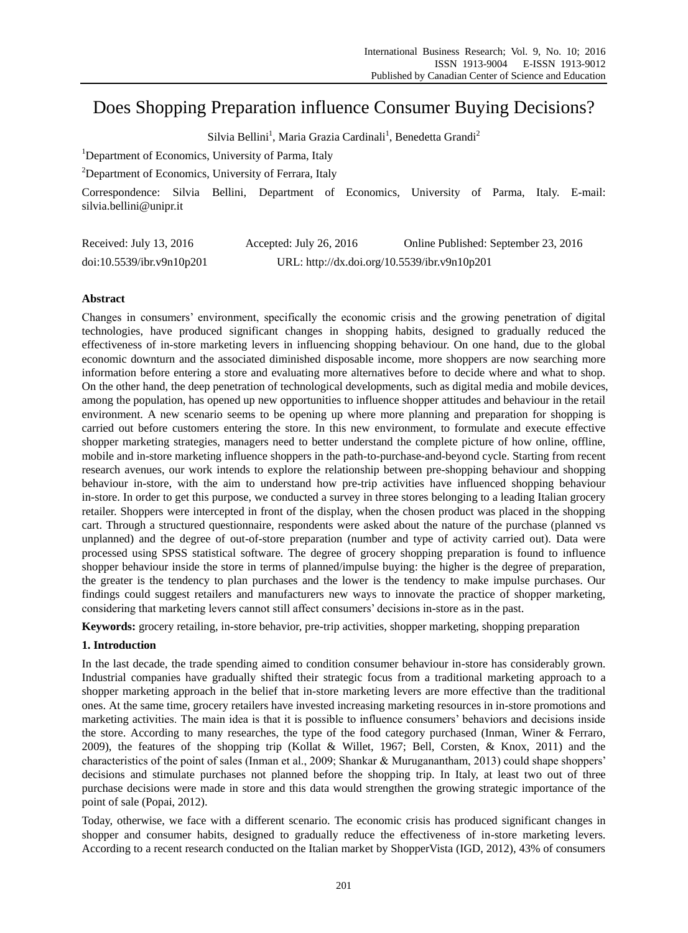# Does Shopping Preparation influence Consumer Buying Decisions?

Silvia Bellini<sup>1</sup>, Maria Grazia Cardinali<sup>1</sup>, Benedetta Grandi<sup>2</sup>

<sup>1</sup>Department of Economics, University of Parma, Italy

<sup>2</sup>Department of Economics, University of Ferrara, Italy

Correspondence: Silvia Bellini, Department of Economics, University of Parma, Italy. E-mail: silvia.bellini@unipr.it

| Received: July 13, 2016   | Accepted: July 26, 2016 | Online Published: September 23, 2016         |
|---------------------------|-------------------------|----------------------------------------------|
| doi:10.5539/ibr.v9n10p201 |                         | URL: http://dx.doi.org/10.5539/ibr.v9n10p201 |

# **Abstract**

Changes in consumers" environment, specifically the economic crisis and the growing penetration of digital technologies, have produced significant changes in shopping habits, designed to gradually reduced the effectiveness of in-store marketing levers in influencing shopping behaviour. On one hand, due to the global economic downturn and the associated diminished disposable income, more shoppers are now searching more information before entering a store and evaluating more alternatives before to decide where and what to shop. On the other hand, the deep penetration of technological developments, such as digital media and mobile devices, among the population, has opened up new opportunities to influence shopper attitudes and behaviour in the retail environment. A new scenario seems to be opening up where more planning and preparation for shopping is carried out before customers entering the store. In this new environment, to formulate and execute effective shopper marketing strategies, managers need to better understand the complete picture of how online, offline, mobile and in-store marketing influence shoppers in the path-to-purchase-and-beyond cycle. Starting from recent research avenues, our work intends to explore the relationship between pre-shopping behaviour and shopping behaviour in-store, with the aim to understand how pre-trip activities have influenced shopping behaviour in-store. In order to get this purpose, we conducted a survey in three stores belonging to a leading Italian grocery retailer. Shoppers were intercepted in front of the display, when the chosen product was placed in the shopping cart. Through a structured questionnaire, respondents were asked about the nature of the purchase (planned vs unplanned) and the degree of out-of-store preparation (number and type of activity carried out). Data were processed using SPSS statistical software. The degree of grocery shopping preparation is found to influence shopper behaviour inside the store in terms of planned/impulse buying: the higher is the degree of preparation, the greater is the tendency to plan purchases and the lower is the tendency to make impulse purchases. Our findings could suggest retailers and manufacturers new ways to innovate the practice of shopper marketing, considering that marketing levers cannot still affect consumers" decisions in-store as in the past.

**Keywords:** grocery retailing, in-store behavior, pre-trip activities, shopper marketing, shopping preparation

# **1. Introduction**

In the last decade, the trade spending aimed to condition consumer behaviour in-store has considerably grown. Industrial companies have gradually shifted their strategic focus from a traditional marketing approach to a shopper marketing approach in the belief that in-store marketing levers are more effective than the traditional ones. At the same time, grocery retailers have invested increasing marketing resources in in-store promotions and marketing activities. The main idea is that it is possible to influence consumers" behaviors and decisions inside the store. According to many researches, the type of the food category purchased (Inman, Winer & Ferraro, 2009), the features of the shopping trip (Kollat & Willet, 1967; Bell, Corsten, & Knox, 2011) and the characteristics of the point of sales (Inman et al., 2009; Shankar & Muruganantham, 2013) could shape shoppers" decisions and stimulate purchases not planned before the shopping trip. In Italy, at least two out of three purchase decisions were made in store and this data would strengthen the growing strategic importance of the point of sale (Popai, 2012).

Today, otherwise, we face with a different scenario. The economic crisis has produced significant changes in shopper and consumer habits, designed to gradually reduce the effectiveness of in-store marketing levers. According to a recent research conducted on the Italian market by ShopperVista (IGD, 2012), 43% of consumers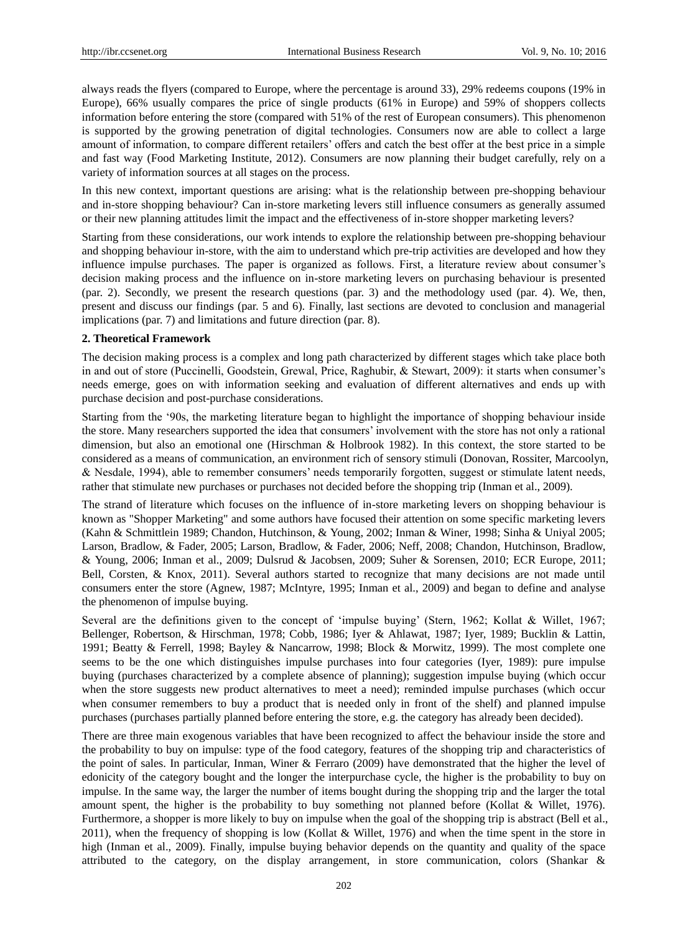always reads the flyers (compared to Europe, where the percentage is around 33), 29% redeems coupons (19% in Europe), 66% usually compares the price of single products (61% in Europe) and 59% of shoppers collects information before entering the store (compared with 51% of the rest of European consumers). This phenomenon is supported by the growing penetration of digital technologies. Consumers now are able to collect a large amount of information, to compare different retailers" offers and catch the best offer at the best price in a simple and fast way (Food Marketing Institute, 2012). Consumers are now planning their budget carefully, rely on a variety of information sources at all stages on the process.

In this new context, important questions are arising: what is the relationship between pre-shopping behaviour and in-store shopping behaviour? Can in-store marketing levers still influence consumers as generally assumed or their new planning attitudes limit the impact and the effectiveness of in-store shopper marketing levers?

Starting from these considerations, our work intends to explore the relationship between pre-shopping behaviour and shopping behaviour in-store, with the aim to understand which pre-trip activities are developed and how they influence impulse purchases. The paper is organized as follows. First, a literature review about consumer"s decision making process and the influence on in-store marketing levers on purchasing behaviour is presented (par. 2). Secondly, we present the research questions (par. 3) and the methodology used (par. 4). We, then, present and discuss our findings (par. 5 and 6). Finally, last sections are devoted to conclusion and managerial implications (par. 7) and limitations and future direction (par. 8).

#### **2. Theoretical Framework**

The decision making process is a complex and long path characterized by different stages which take place both in and out of store (Puccinelli, Goodstein, Grewal, Price, Raghubir, & Stewart, 2009): it starts when consumer's needs emerge, goes on with information seeking and evaluation of different alternatives and ends up with purchase decision and post-purchase considerations.

Starting from the "90s, the marketing literature began to highlight the importance of shopping behaviour inside the store. Many researchers supported the idea that consumers" involvement with the store has not only a rational dimension, but also an emotional one (Hirschman & Holbrook 1982). In this context, the store started to be considered as a means of communication, an environment rich of sensory stimuli (Donovan, Rossiter, Marcoolyn, & Nesdale, 1994), able to remember consumers" needs temporarily forgotten, suggest or stimulate latent needs, rather that stimulate new purchases or purchases not decided before the shopping trip (Inman et al., 2009).

The strand of literature which focuses on the influence of in-store marketing levers on shopping behaviour is known as "Shopper Marketing" and some authors have focused their attention on some specific marketing levers (Kahn & Schmittlein 1989; Chandon, Hutchinson, & Young, 2002; Inman & Winer, 1998; Sinha & Uniyal 2005; Larson, Bradlow, & Fader, 2005; Larson, Bradlow, & Fader, 2006; Neff, 2008; Chandon, Hutchinson, Bradlow, & Young, 2006; Inman et al., 2009; Dulsrud & Jacobsen, 2009; Suher & Sorensen, 2010; ECR Europe, 2011; Bell, Corsten, & Knox, 2011). Several authors started to recognize that many decisions are not made until consumers enter the store (Agnew, 1987; McIntyre, 1995; Inman et al., 2009) and began to define and analyse the phenomenon of impulse buying.

Several are the definitions given to the concept of "impulse buying" (Stern, 1962; Kollat & Willet, 1967; Bellenger, Robertson, & Hirschman, 1978; Cobb, 1986; Iyer & Ahlawat, 1987; Iyer, 1989; Bucklin & Lattin, 1991; Beatty & Ferrell, 1998; Bayley & Nancarrow, 1998; Block & Morwitz, 1999). The most complete one seems to be the one which distinguishes impulse purchases into four categories (Iyer, 1989): pure impulse buying (purchases characterized by a complete absence of planning); suggestion impulse buying (which occur when the store suggests new product alternatives to meet a need); reminded impulse purchases (which occur when consumer remembers to buy a product that is needed only in front of the shelf) and planned impulse purchases (purchases partially planned before entering the store, e.g. the category has already been decided).

There are three main exogenous variables that have been recognized to affect the behaviour inside the store and the probability to buy on impulse: type of the food category, features of the shopping trip and characteristics of the point of sales. In particular, Inman, Winer & Ferraro (2009) have demonstrated that the higher the level of edonicity of the category bought and the longer the interpurchase cycle, the higher is the probability to buy on impulse. In the same way, the larger the number of items bought during the shopping trip and the larger the total amount spent, the higher is the probability to buy something not planned before (Kollat & Willet, 1976). Furthermore, a shopper is more likely to buy on impulse when the goal of the shopping trip is abstract (Bell et al., 2011), when the frequency of shopping is low (Kollat & Willet, 1976) and when the time spent in the store in high (Inman et al., 2009). Finally, impulse buying behavior depends on the quantity and quality of the space attributed to the category, on the display arrangement, in store communication, colors (Shankar &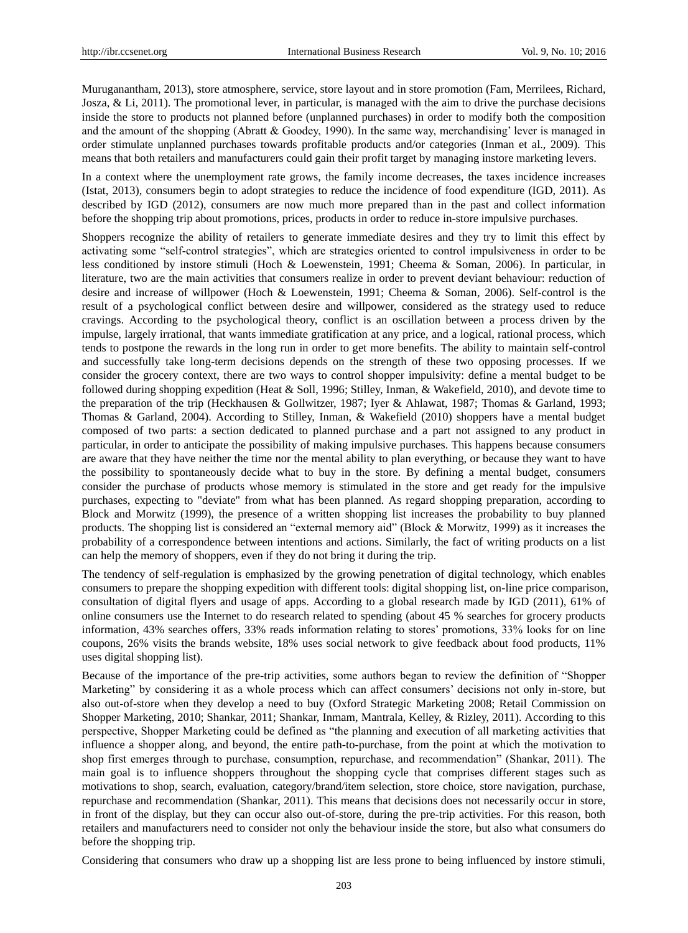Muruganantham, 2013), store atmosphere, service, store layout and in store promotion (Fam, Merrilees, Richard, Josza, & Li, 2011). The promotional lever, in particular, is managed with the aim to drive the purchase decisions inside the store to products not planned before (unplanned purchases) in order to modify both the composition and the amount of the shopping (Abratt & Goodey, 1990). In the same way, merchandising' lever is managed in order stimulate unplanned purchases towards profitable products and/or categories (Inman et al., 2009). This means that both retailers and manufacturers could gain their profit target by managing instore marketing levers.

In a context where the unemployment rate grows, the family income decreases, the taxes incidence increases (Istat, 2013), consumers begin to adopt strategies to reduce the incidence of food expenditure (IGD, 2011). As described by IGD (2012), consumers are now much more prepared than in the past and collect information before the shopping trip about promotions, prices, products in order to reduce in-store impulsive purchases.

Shoppers recognize the ability of retailers to generate immediate desires and they try to limit this effect by activating some "self-control strategies", which are strategies oriented to control impulsiveness in order to be less conditioned by instore stimuli (Hoch & Loewenstein, 1991; Cheema & Soman, 2006). In particular, in literature, two are the main activities that consumers realize in order to prevent deviant behaviour: reduction of desire and increase of willpower (Hoch & Loewenstein, 1991; Cheema & Soman, 2006). Self-control is the result of a psychological conflict between desire and willpower, considered as the strategy used to reduce cravings. According to the psychological theory, conflict is an oscillation between a process driven by the impulse, largely irrational, that wants immediate gratification at any price, and a logical, rational process, which tends to postpone the rewards in the long run in order to get more benefits. The ability to maintain self-control and successfully take long-term decisions depends on the strength of these two opposing processes. If we consider the grocery context, there are two ways to control shopper impulsivity: define a mental budget to be followed during shopping expedition (Heat & Soll, 1996; Stilley, Inman, & Wakefield, 2010), and devote time to the preparation of the trip (Heckhausen & Gollwitzer, 1987; Iyer & Ahlawat, 1987; Thomas & Garland, 1993; Thomas & Garland, 2004). According to Stilley, Inman, & Wakefield (2010) shoppers have a mental budget composed of two parts: a section dedicated to planned purchase and a part not assigned to any product in particular, in order to anticipate the possibility of making impulsive purchases. This happens because consumers are aware that they have neither the time nor the mental ability to plan everything, or because they want to have the possibility to spontaneously decide what to buy in the store. By defining a mental budget, consumers consider the purchase of products whose memory is stimulated in the store and get ready for the impulsive purchases, expecting to "deviate" from what has been planned. As regard shopping preparation, according to Block and Morwitz (1999), the presence of a written shopping list increases the probability to buy planned products. The shopping list is considered an "external memory aid" (Block & Morwitz, 1999) as it increases the probability of a correspondence between intentions and actions. Similarly, the fact of writing products on a list can help the memory of shoppers, even if they do not bring it during the trip.

The tendency of self-regulation is emphasized by the growing penetration of digital technology, which enables consumers to prepare the shopping expedition with different tools: digital shopping list, on-line price comparison, consultation of digital flyers and usage of apps. According to a global research made by IGD (2011), 61% of online consumers use the Internet to do research related to spending (about 45 % searches for grocery products information, 43% searches offers, 33% reads information relating to stores' promotions, 33% looks for on line coupons, 26% visits the brands website, 18% uses social network to give feedback about food products, 11% uses digital shopping list).

Because of the importance of the pre-trip activities, some authors began to review the definition of "Shopper Marketing" by considering it as a whole process which can affect consumers" decisions not only in-store, but also out-of-store when they develop a need to buy (Oxford Strategic Marketing 2008; Retail Commission on Shopper Marketing, 2010; Shankar, 2011; Shankar, Inmam, Mantrala, Kelley, & Rizley, 2011). According to this perspective, Shopper Marketing could be defined as "the planning and execution of all marketing activities that influence a shopper along, and beyond, the entire path-to-purchase, from the point at which the motivation to shop first emerges through to purchase, consumption, repurchase, and recommendation" (Shankar, 2011). The main goal is to influence shoppers throughout the shopping cycle that comprises different stages such as motivations to shop, search, evaluation, category/brand/item selection, store choice, store navigation, purchase, repurchase and recommendation (Shankar, 2011). This means that decisions does not necessarily occur in store, in front of the display, but they can occur also out-of-store, during the pre-trip activities. For this reason, both retailers and manufacturers need to consider not only the behaviour inside the store, but also what consumers do before the shopping trip.

Considering that consumers who draw up a shopping list are less prone to being influenced by instore stimuli,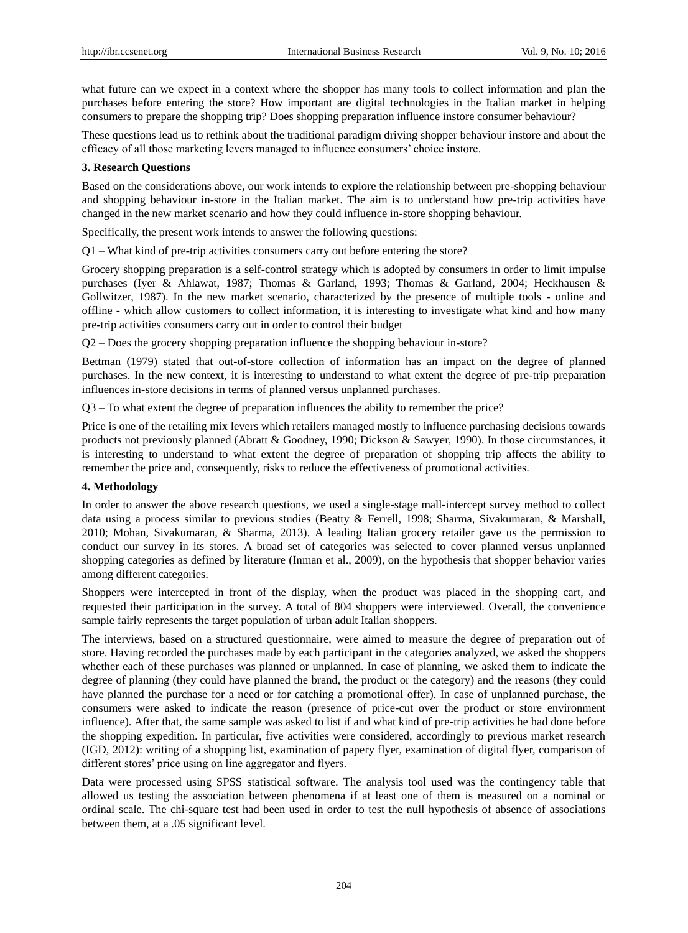what future can we expect in a context where the shopper has many tools to collect information and plan the purchases before entering the store? How important are digital technologies in the Italian market in helping consumers to prepare the shopping trip? Does shopping preparation influence instore consumer behaviour?

These questions lead us to rethink about the traditional paradigm driving shopper behaviour instore and about the efficacy of all those marketing levers managed to influence consumers" choice instore.

## **3. Research Questions**

Based on the considerations above, our work intends to explore the relationship between pre-shopping behaviour and shopping behaviour in-store in the Italian market. The aim is to understand how pre-trip activities have changed in the new market scenario and how they could influence in-store shopping behaviour.

Specifically, the present work intends to answer the following questions:

Q1 – What kind of pre-trip activities consumers carry out before entering the store?

Grocery shopping preparation is a self-control strategy which is adopted by consumers in order to limit impulse purchases (Iyer & Ahlawat, 1987; Thomas & Garland, 1993; Thomas & Garland, 2004; Heckhausen & Gollwitzer, 1987). In the new market scenario, characterized by the presence of multiple tools - online and offline - which allow customers to collect information, it is interesting to investigate what kind and how many pre-trip activities consumers carry out in order to control their budget

Q2 – Does the grocery shopping preparation influence the shopping behaviour in-store?

Bettman (1979) stated that out-of-store collection of information has an impact on the degree of planned purchases. In the new context, it is interesting to understand to what extent the degree of pre-trip preparation influences in-store decisions in terms of planned versus unplanned purchases.

Q3 – To what extent the degree of preparation influences the ability to remember the price?

Price is one of the retailing mix levers which retailers managed mostly to influence purchasing decisions towards products not previously planned (Abratt & Goodney, 1990; Dickson & Sawyer, 1990). In those circumstances, it is interesting to understand to what extent the degree of preparation of shopping trip affects the ability to remember the price and, consequently, risks to reduce the effectiveness of promotional activities.

#### **4. Methodology**

In order to answer the above research questions, we used a single-stage mall-intercept survey method to collect data using a process similar to previous studies (Beatty & Ferrell, 1998; Sharma, Sivakumaran, & Marshall, 2010; Mohan, Sivakumaran, & Sharma, 2013). A leading Italian grocery retailer gave us the permission to conduct our survey in its stores. A broad set of categories was selected to cover planned versus unplanned shopping categories as defined by literature (Inman et al., 2009), on the hypothesis that shopper behavior varies among different categories.

Shoppers were intercepted in front of the display, when the product was placed in the shopping cart, and requested their participation in the survey. A total of 804 shoppers were interviewed. Overall, the convenience sample fairly represents the target population of urban adult Italian shoppers.

The interviews, based on a structured questionnaire, were aimed to measure the degree of preparation out of store. Having recorded the purchases made by each participant in the categories analyzed, we asked the shoppers whether each of these purchases was planned or unplanned. In case of planning, we asked them to indicate the degree of planning (they could have planned the brand, the product or the category) and the reasons (they could have planned the purchase for a need or for catching a promotional offer). In case of unplanned purchase, the consumers were asked to indicate the reason (presence of price-cut over the product or store environment influence). After that, the same sample was asked to list if and what kind of pre-trip activities he had done before the shopping expedition. In particular, five activities were considered, accordingly to previous market research (IGD, 2012): writing of a shopping list, examination of papery flyer, examination of digital flyer, comparison of different stores' price using on line aggregator and flyers.

Data were processed using SPSS statistical software. The analysis tool used was the contingency table that allowed us testing the association between phenomena if at least one of them is measured on a nominal or ordinal scale. The chi-square test had been used in order to test the null hypothesis of absence of associations between them, at a .05 significant level.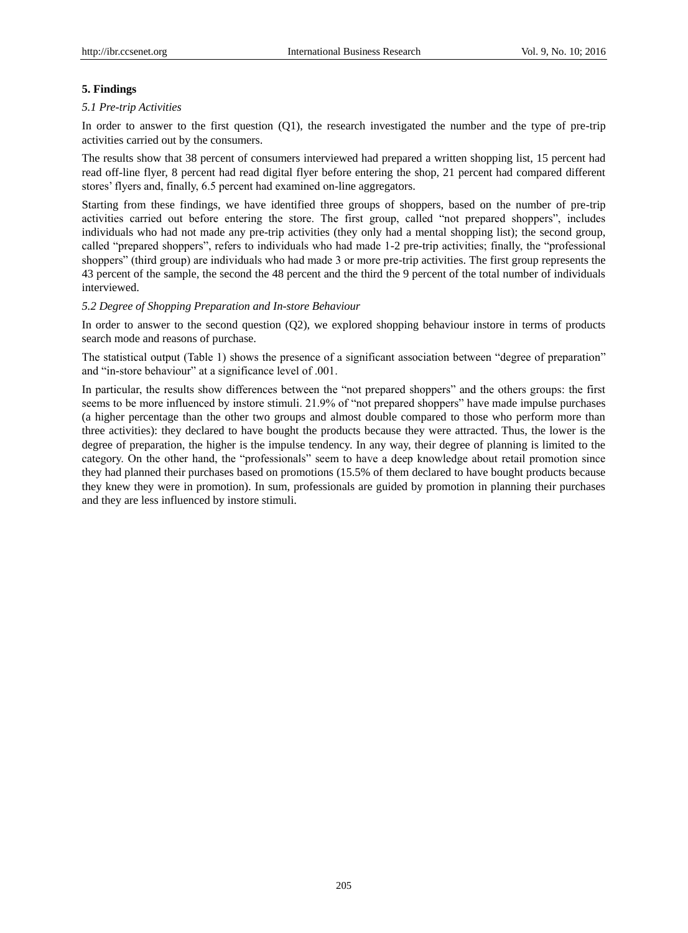## **5. Findings**

### *5.1 Pre-trip Activities*

In order to answer to the first question (Q1), the research investigated the number and the type of pre-trip activities carried out by the consumers.

The results show that 38 percent of consumers interviewed had prepared a written shopping list, 15 percent had read off-line flyer, 8 percent had read digital flyer before entering the shop, 21 percent had compared different stores" flyers and, finally, 6.5 percent had examined on-line aggregators.

Starting from these findings, we have identified three groups of shoppers, based on the number of pre-trip activities carried out before entering the store. The first group, called "not prepared shoppers", includes individuals who had not made any pre-trip activities (they only had a mental shopping list); the second group, called "prepared shoppers", refers to individuals who had made 1-2 pre-trip activities; finally, the "professional shoppers" (third group) are individuals who had made 3 or more pre-trip activities. The first group represents the 43 percent of the sample, the second the 48 percent and the third the 9 percent of the total number of individuals interviewed.

#### *5.2 Degree of Shopping Preparation and In-store Behaviour*

In order to answer to the second question (Q2), we explored shopping behaviour instore in terms of products search mode and reasons of purchase.

The statistical output (Table 1) shows the presence of a significant association between "degree of preparation" and "in-store behaviour" at a significance level of .001.

In particular, the results show differences between the "not prepared shoppers" and the others groups: the first seems to be more influenced by instore stimuli. 21.9% of "not prepared shoppers" have made impulse purchases (a higher percentage than the other two groups and almost double compared to those who perform more than three activities): they declared to have bought the products because they were attracted. Thus, the lower is the degree of preparation, the higher is the impulse tendency. In any way, their degree of planning is limited to the category. On the other hand, the "professionals" seem to have a deep knowledge about retail promotion since they had planned their purchases based on promotions (15.5% of them declared to have bought products because they knew they were in promotion). In sum, professionals are guided by promotion in planning their purchases and they are less influenced by instore stimuli.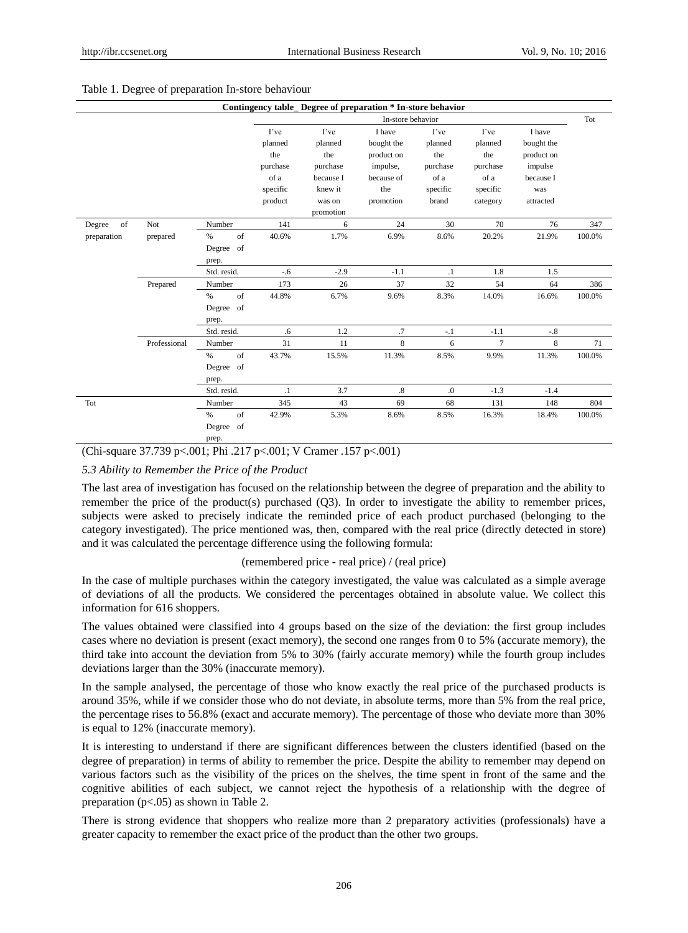#### Table 1. Degree of preparation In-store behaviour

| Contingency table_Degree of preparation * In-store behavior |              |             |                   |           |            |          |                |            |        |
|-------------------------------------------------------------|--------------|-------------|-------------------|-----------|------------|----------|----------------|------------|--------|
|                                                             |              |             | In-store behavior |           |            |          |                | Tot        |        |
|                                                             |              |             | I've              | I've      | I have     | I've     | I've           | I have     |        |
|                                                             |              |             | planned           | planned   | bought the | planned  | planned        | bought the |        |
|                                                             |              |             | the               | the       | product on | the      | the            | product on |        |
|                                                             |              |             | purchase          | purchase  | impulse,   | purchase | purchase       | impulse    |        |
|                                                             |              |             | of a              | because I | because of | of a     | of a           | because I  |        |
|                                                             |              |             | specific          | knew it   | the        | specific | specific       | was        |        |
|                                                             |              |             | product           | was on    | promotion  | brand    | category       | attracted  |        |
|                                                             |              |             |                   | promotion |            |          |                |            |        |
| of<br>Degree                                                | Not          | Number      | 141               | 6         | 24         | 30       | 70             | 76         | 347    |
| preparation                                                 | prepared     | of<br>$\%$  | 40.6%             | 1.7%      | 6.9%       | 8.6%     | 20.2%          | 21.9%      | 100.0% |
|                                                             |              | Degree of   |                   |           |            |          |                |            |        |
|                                                             |              | prep.       |                   |           |            |          |                |            |        |
|                                                             |              | Std. resid. | $-.6$             | $-2.9$    | $-1.1$     | $\cdot$  | 1.8            | 1.5        |        |
|                                                             | Prepared     | Number      | 173               | 26        | 37         | 32       | 54             | 64         | 386    |
|                                                             |              | of<br>%     | 44.8%             | 6.7%      | 9.6%       | 8.3%     | 14.0%          | 16.6%      | 100.0% |
|                                                             |              | Degree of   |                   |           |            |          |                |            |        |
|                                                             |              | prep.       |                   |           |            |          |                |            |        |
|                                                             |              | Std. resid. | .6                | 1.2       | .7         | $-.1$    | $-1.1$         | $-.8$      |        |
|                                                             | Professional | Number      | 31                | 11        | $\,8\,$    | 6        | $\overline{7}$ | 8          | 71     |
|                                                             |              | of<br>$\%$  | 43.7%             | 15.5%     | 11.3%      | 8.5%     | 9.9%           | 11.3%      | 100.0% |
|                                                             |              | Degree of   |                   |           |            |          |                |            |        |
|                                                             |              | prep.       |                   |           |            |          |                |            |        |
|                                                             |              | Std. resid. | $\cdot$           | 3.7       | $.8\,$     | .0       | $-1.3$         | $-1.4$     |        |
| Tot                                                         |              | Number      | 345               | 43        | 69         | 68       | 131            | 148        | 804    |
|                                                             |              | of<br>%     | 42.9%             | 5.3%      | 8.6%       | 8.5%     | 16.3%          | 18.4%      | 100.0% |
|                                                             |              | Degree of   |                   |           |            |          |                |            |        |
|                                                             |              | prep.       |                   |           |            |          |                |            |        |

(Chi-square 37.739 p<.001; Phi .217 p<.001; V Cramer .157 p<.001)

# *5.3 Ability to Remember the Price of the Product*

The last area of investigation has focused on the relationship between the degree of preparation and the ability to remember the price of the product(s) purchased (Q3). In order to investigate the ability to remember prices, subjects were asked to precisely indicate the reminded price of each product purchased (belonging to the category investigated). The price mentioned was, then, compared with the real price (directly detected in store) and it was calculated the percentage difference using the following formula:

#### (remembered price - real price) / (real price)

In the case of multiple purchases within the category investigated, the value was calculated as a simple average of deviations of all the products. We considered the percentages obtained in absolute value. We collect this information for 616 shoppers.

The values obtained were classified into 4 groups based on the size of the deviation: the first group includes cases where no deviation is present (exact memory), the second one ranges from 0 to 5% (accurate memory), the third take into account the deviation from 5% to 30% (fairly accurate memory) while the fourth group includes deviations larger than the 30% (inaccurate memory).

In the sample analysed, the percentage of those who know exactly the real price of the purchased products is around 35%, while if we consider those who do not deviate, in absolute terms, more than 5% from the real price, the percentage rises to 56.8% (exact and accurate memory). The percentage of those who deviate more than 30% is equal to 12% (inaccurate memory).

It is interesting to understand if there are significant differences between the clusters identified (based on the degree of preparation) in terms of ability to remember the price. Despite the ability to remember may depend on various factors such as the visibility of the prices on the shelves, the time spent in front of the same and the cognitive abilities of each subject, we cannot reject the hypothesis of a relationship with the degree of preparation ( $p<0.05$ ) as shown in Table 2.

There is strong evidence that shoppers who realize more than 2 preparatory activities (professionals) have a greater capacity to remember the exact price of the product than the other two groups.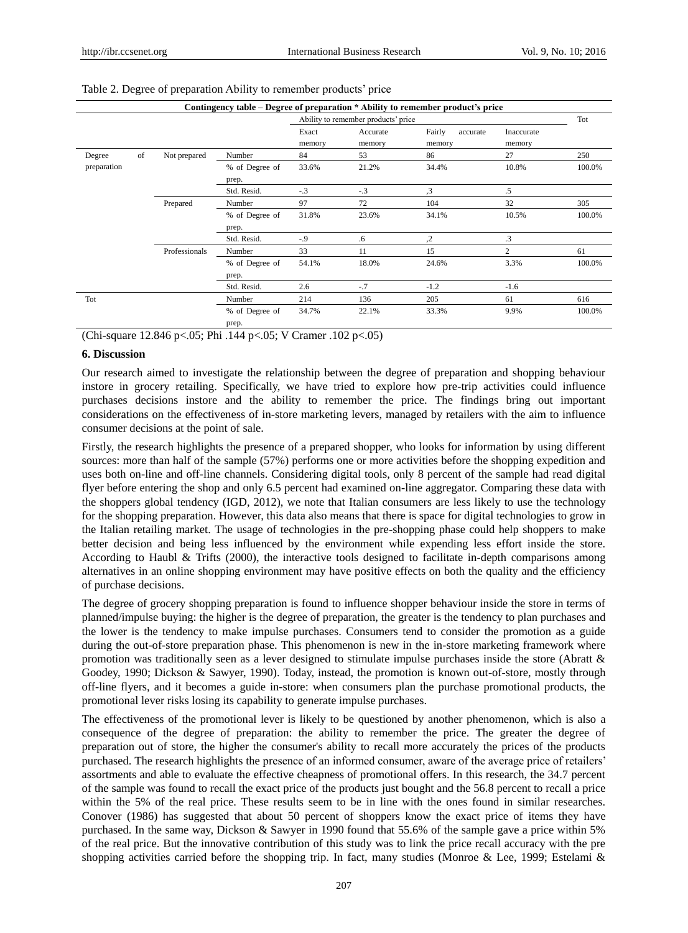|             |    |                         |                         | Ability to remember products' price |                    |                              |                      | Tot    |
|-------------|----|-------------------------|-------------------------|-------------------------------------|--------------------|------------------------------|----------------------|--------|
|             |    |                         |                         | Exact<br>memory                     | Accurate<br>memory | Fairly<br>accurate<br>memory | Inaccurate<br>memory |        |
| Degree      | of | Not prepared            | Number                  | 84                                  | 53                 | 86                           | 27                   | 250    |
| preparation |    | % of Degree of<br>prep. | 33.6%                   | 21.2%                               | 34.4%              | 10.8%                        | 100.0%               |        |
|             |    | Std. Resid.             | $-.3$                   | $-.3$                               | $\cdot$ 3          | .5                           |                      |        |
|             |    | Prepared                | Number                  | 97                                  | 72                 | 104                          | 32                   | 305    |
|             |    |                         | % of Degree of<br>prep. | 31.8%                               | 23.6%              | 34.1%                        | 10.5%                | 100.0% |
|             |    |                         | Std. Resid.             | $-9$                                | .6                 | ,2                           | .3                   |        |
|             |    | Professionals           | Number                  | 33                                  | 11                 | 15                           | 2                    | 61     |
|             |    |                         | % of Degree of<br>prep. | 54.1%                               | 18.0%              | 24.6%                        | 3.3%                 | 100.0% |
|             |    |                         | Std. Resid.             | 2.6                                 | $-.7$              | $-1.2$                       | $-1.6$               |        |
| Tot         |    |                         | Number                  | 214                                 | 136                | 205                          | 61                   | 616    |
|             |    |                         | % of Degree of<br>prep. | 34.7%                               | 22.1%              | 33.3%                        | 9.9%                 | 100.0% |

#### Table 2. Degree of preparation Ability to remember products' price

(Chi-square 12.846 p<.05; Phi .144 p<.05; V Cramer .102 p<.05)

#### **6. Discussion**

Our research aimed to investigate the relationship between the degree of preparation and shopping behaviour instore in grocery retailing. Specifically, we have tried to explore how pre-trip activities could influence purchases decisions instore and the ability to remember the price. The findings bring out important considerations on the effectiveness of in-store marketing levers, managed by retailers with the aim to influence consumer decisions at the point of sale.

Firstly, the research highlights the presence of a prepared shopper, who looks for information by using different sources: more than half of the sample (57%) performs one or more activities before the shopping expedition and uses both on-line and off-line channels. Considering digital tools, only 8 percent of the sample had read digital flyer before entering the shop and only 6.5 percent had examined on-line aggregator. Comparing these data with the shoppers global tendency (IGD, 2012), we note that Italian consumers are less likely to use the technology for the shopping preparation. However, this data also means that there is space for digital technologies to grow in the Italian retailing market. The usage of technologies in the pre-shopping phase could help shoppers to make better decision and being less influenced by the environment while expending less effort inside the store. According to Haubl & Trifts (2000), the interactive tools designed to facilitate in-depth comparisons among alternatives in an online shopping environment may have positive effects on both the quality and the efficiency of purchase decisions.

The degree of grocery shopping preparation is found to influence shopper behaviour inside the store in terms of planned/impulse buying: the higher is the degree of preparation, the greater is the tendency to plan purchases and the lower is the tendency to make impulse purchases. Consumers tend to consider the promotion as a guide during the out-of-store preparation phase. This phenomenon is new in the in-store marketing framework where promotion was traditionally seen as a lever designed to stimulate impulse purchases inside the store (Abratt & Goodey, 1990; Dickson & Sawyer, 1990). Today, instead, the promotion is known out-of-store, mostly through off-line flyers, and it becomes a guide in-store: when consumers plan the purchase promotional products, the promotional lever risks losing its capability to generate impulse purchases.

The effectiveness of the promotional lever is likely to be questioned by another phenomenon, which is also a consequence of the degree of preparation: the ability to remember the price. The greater the degree of preparation out of store, the higher the consumer's ability to recall more accurately the prices of the products purchased. The research highlights the presence of an informed consumer, aware of the average price of retailers" assortments and able to evaluate the effective cheapness of promotional offers. In this research, the 34.7 percent of the sample was found to recall the exact price of the products just bought and the 56.8 percent to recall a price within the 5% of the real price. These results seem to be in line with the ones found in similar researches. Conover (1986) has suggested that about 50 percent of shoppers know the exact price of items they have purchased. In the same way, Dickson & Sawyer in 1990 found that 55.6% of the sample gave a price within 5% of the real price. But the innovative contribution of this study was to link the price recall accuracy with the pre shopping activities carried before the shopping trip. In fact, many studies (Monroe & Lee, 1999; Estelami &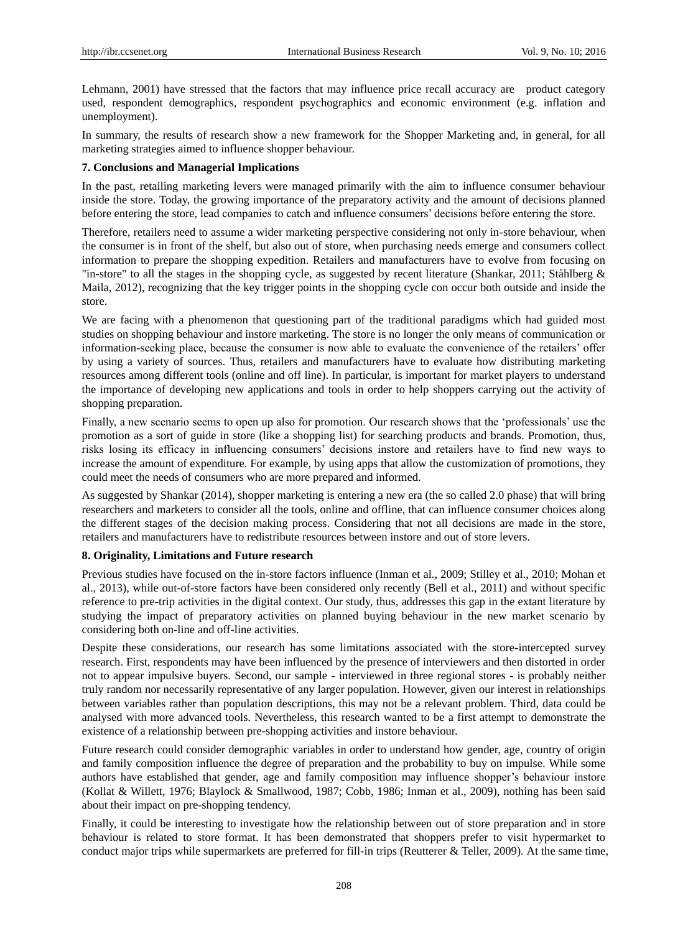Lehmann, 2001) have stressed that the factors that may influence price recall accuracy are product category used, respondent demographics, respondent psychographics and economic environment (e.g. inflation and unemployment).

In summary, the results of research show a new framework for the Shopper Marketing and, in general, for all marketing strategies aimed to influence shopper behaviour.

## **7. Conclusions and Managerial Implications**

In the past, retailing marketing levers were managed primarily with the aim to influence consumer behaviour inside the store. Today, the growing importance of the preparatory activity and the amount of decisions planned before entering the store, lead companies to catch and influence consumers" decisions before entering the store.

Therefore, retailers need to assume a wider marketing perspective considering not only in-store behaviour, when the consumer is in front of the shelf, but also out of store, when purchasing needs emerge and consumers collect information to prepare the shopping expedition. Retailers and manufacturers have to evolve from focusing on "in-store" to all the stages in the shopping cycle, as suggested by recent literature (Shankar, 2011; Ståhlberg & Maila, 2012), recognizing that the key trigger points in the shopping cycle con occur both outside and inside the store.

We are facing with a phenomenon that questioning part of the traditional paradigms which had guided most studies on shopping behaviour and instore marketing. The store is no longer the only means of communication or information-seeking place, because the consumer is now able to evaluate the convenience of the retailers" offer by using a variety of sources. Thus, retailers and manufacturers have to evaluate how distributing marketing resources among different tools (online and off line). In particular, is important for market players to understand the importance of developing new applications and tools in order to help shoppers carrying out the activity of shopping preparation.

Finally, a new scenario seems to open up also for promotion. Our research shows that the 'professionals' use the promotion as a sort of guide in store (like a shopping list) for searching products and brands. Promotion, thus, risks losing its efficacy in influencing consumers" decisions instore and retailers have to find new ways to increase the amount of expenditure. For example, by using apps that allow the customization of promotions, they could meet the needs of consumers who are more prepared and informed.

As suggested by Shankar (2014), shopper marketing is entering a new era (the so called 2.0 phase) that will bring researchers and marketers to consider all the tools, online and offline, that can influence consumer choices along the different stages of the decision making process. Considering that not all decisions are made in the store, retailers and manufacturers have to redistribute resources between instore and out of store levers.

## **8. Originality, Limitations and Future research**

Previous studies have focused on the in-store factors influence (Inman et al., 2009; Stilley et al., 2010; Mohan et al., 2013), while out-of-store factors have been considered only recently (Bell et al., 2011) and without specific reference to pre-trip activities in the digital context. Our study, thus, addresses this gap in the extant literature by studying the impact of preparatory activities on planned buying behaviour in the new market scenario by considering both on-line and off-line activities.

Despite these considerations, our research has some limitations associated with the store-intercepted survey research. First, respondents may have been influenced by the presence of interviewers and then distorted in order not to appear impulsive buyers. Second, our sample - interviewed in three regional stores - is probably neither truly random nor necessarily representative of any larger population. However, given our interest in relationships between variables rather than population descriptions, this may not be a relevant problem. Third, data could be analysed with more advanced tools. Nevertheless, this research wanted to be a first attempt to demonstrate the existence of a relationship between pre-shopping activities and instore behaviour.

Future research could consider demographic variables in order to understand how gender, age, country of origin and family composition influence the degree of preparation and the probability to buy on impulse. While some authors have established that gender, age and family composition may influence shopper"s behaviour instore (Kollat & Willett, 1976; Blaylock & Smallwood, 1987; Cobb, 1986; Inman et al., 2009), nothing has been said about their impact on pre-shopping tendency.

Finally, it could be interesting to investigate how the relationship between out of store preparation and in store behaviour is related to store format. It has been demonstrated that shoppers prefer to visit hypermarket to conduct major trips while supermarkets are preferred for fill-in trips (Reutterer & Teller, 2009). At the same time,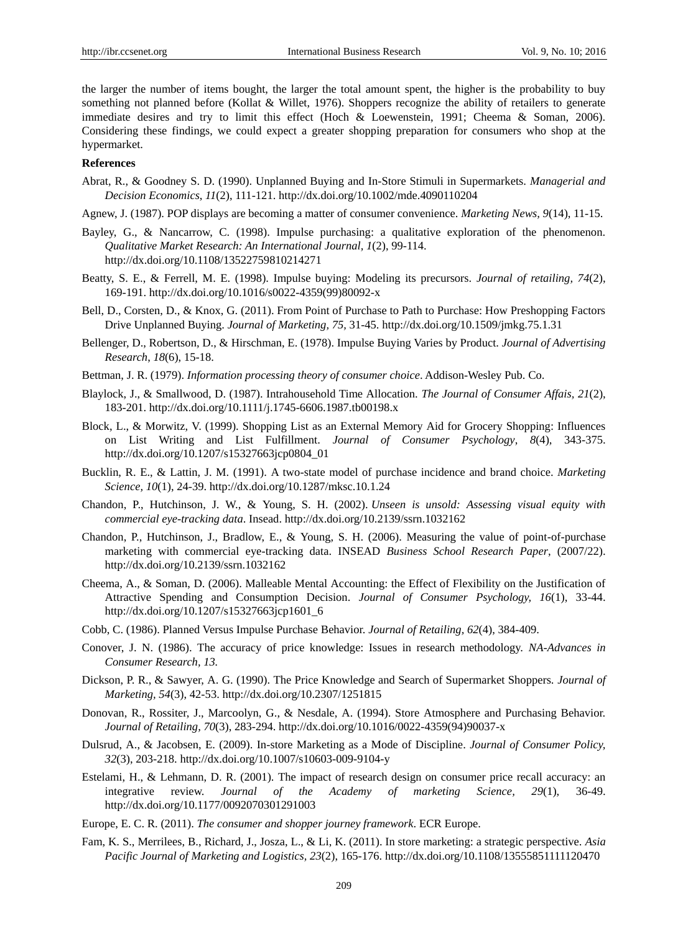the larger the number of items bought, the larger the total amount spent, the higher is the probability to buy something not planned before (Kollat & Willet, 1976). Shoppers recognize the ability of retailers to generate immediate desires and try to limit this effect (Hoch & Loewenstein, 1991; Cheema & Soman, 2006). Considering these findings, we could expect a greater shopping preparation for consumers who shop at the hypermarket.

#### **References**

- Abrat, R., & Goodney S. D. (1990). Unplanned Buying and In-Store Stimuli in Supermarkets. *Managerial and Decision Economics*, *11*(2), 111-121. http://dx.doi.org/10.1002/mde.4090110204
- Agnew, J. (1987). POP displays are becoming a matter of consumer convenience. *Marketing News, 9*(14), 11-15.
- Bayley, G., & Nancarrow, C. (1998). Impulse purchasing: a qualitative exploration of the phenomenon. *Qualitative Market Research: An International Journal, 1*(2), 99-114. http://dx.doi.org/10.1108/13522759810214271
- Beatty, S. E., & Ferrell, M. E. (1998). Impulse buying: Modeling its precursors. *Journal of retailing, 74*(2), 169-191. http://dx.doi.org/10.1016/s0022-4359(99)80092-x
- Bell, D., Corsten, D., & Knox, G. (2011). From Point of Purchase to Path to Purchase: How Preshopping Factors Drive Unplanned Buying. *Journal of Marketing, 75,* 31-45. http://dx.doi.org/10.1509/jmkg.75.1.31
- Bellenger, D., Robertson, D., & Hirschman, E. (1978). Impulse Buying Varies by Product. *Journal of Advertising Research*, *18*(6), 15-18.
- Bettman, J. R. (1979). *Information processing theory of consumer choice*. Addison-Wesley Pub. Co.
- Blaylock, J., & Smallwood, D. (1987). Intrahousehold Time Allocation. *The Journal of Consumer Affais, 21*(2), 183-201. http://dx.doi.org/10.1111/j.1745-6606.1987.tb00198.x
- Block, L., & Morwitz, V. (1999). Shopping List as an External Memory Aid for Grocery Shopping: Influences on List Writing and List Fulfillment. *Journal of Consumer Psychology*, *8*(4), 343-375. http://dx.doi.org/10.1207/s15327663jcp0804\_01
- Bucklin, R. E., & Lattin, J. M. (1991). A two-state model of purchase incidence and brand choice. *Marketing Science, 10*(1), 24-39. http://dx.doi.org/10.1287/mksc.10.1.24
- Chandon, P., Hutchinson, J. W., & Young, S. H. (2002). *Unseen is unsold: Assessing visual equity with commercial eye-tracking data*. Insead. http://dx.doi.org/10.2139/ssrn.1032162
- Chandon, P., Hutchinson, J., Bradlow, E., & Young, S. H. (2006). Measuring the value of point-of-purchase marketing with commercial eye-tracking data. INSEAD *Business School Research Paper*, (2007/22). http://dx.doi.org/10.2139/ssrn.1032162
- Cheema, A., & Soman, D. (2006). Malleable Mental Accounting: the Effect of Flexibility on the Justification of Attractive Spending and Consumption Decision. *Journal of Consumer Psychology, 16*(1), 33-44. http://dx.doi.org/10.1207/s15327663jcp1601\_6
- Cobb, C. (1986). Planned Versus Impulse Purchase Behavior. *Journal of Retailing, 62*(4), 384-409.
- Conover, J. N. (1986). The accuracy of price knowledge: Issues in research methodology. *NA-Advances in Consumer Research, 13.*
- Dickson, P. R., & Sawyer, A. G. (1990). The Price Knowledge and Search of Supermarket Shoppers. *Journal of Marketing, 54*(3), 42-53. http://dx.doi.org/10.2307/1251815
- Donovan, R., Rossiter, J., Marcoolyn, G., & Nesdale, A. (1994). Store Atmosphere and Purchasing Behavior. *Journal of Retailing, 70*(3), 283-294. http://dx.doi.org/10.1016/0022-4359(94)90037-x
- Dulsrud, A., & Jacobsen, E. (2009). In-store Marketing as a Mode of Discipline. *Journal of Consumer Policy, 32*(3), 203-218. http://dx.doi.org/10.1007/s10603-009-9104-y
- Estelami, H., & Lehmann, D. R. (2001). The impact of research design on consumer price recall accuracy: an integrative review. *Journal of the Academy of marketing Science, 29*(1), 36-49. http://dx.doi.org/10.1177/0092070301291003
- Europe, E. C. R. (2011). *The consumer and shopper journey framework*. ECR Europe.
- Fam, K. S., Merrilees, B., Richard, J., Josza, L., & Li, K. (2011). In store marketing: a strategic perspective. *Asia Pacific Journal of Marketing and Logistics, 23*(2), 165-176. http://dx.doi.org/10.1108/13555851111120470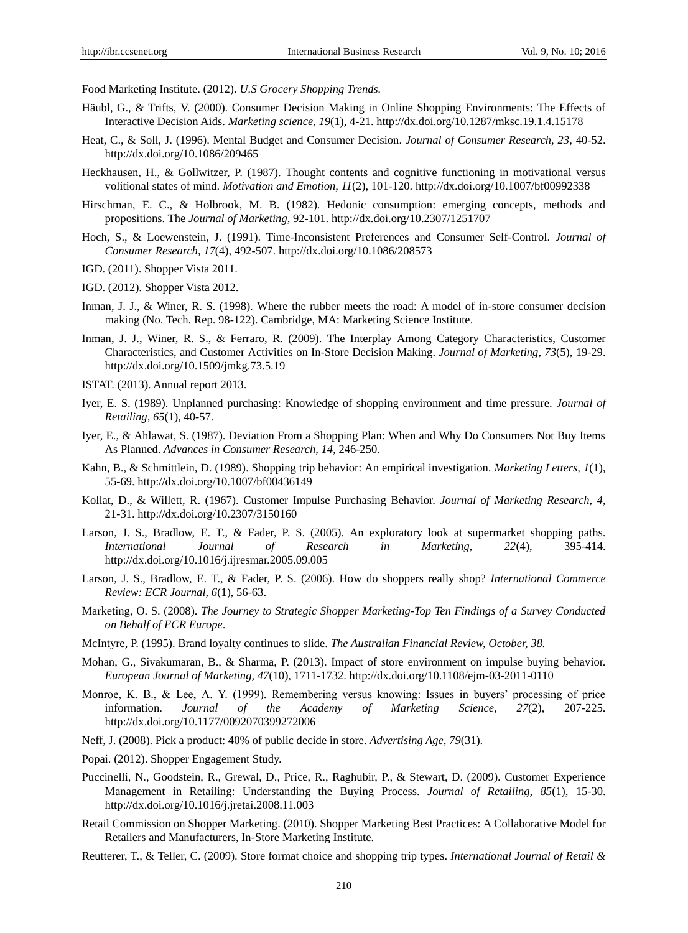Food Marketing Institute. (2012). *U.S Grocery Shopping Trends.*

- Häubl, G., & Trifts, V. (2000). Consumer Decision Making in Online Shopping Environments: The Effects of Interactive Decision Aids. *Marketing science, 19*(1), 4-21. http://dx.doi.org/10.1287/mksc.19.1.4.15178
- Heat, C., & Soll, J. (1996). Mental Budget and Consumer Decision. *Journal of Consumer Research, 23*, 40-52. http://dx.doi.org/10.1086/209465
- Heckhausen, H., & Gollwitzer, P. (1987). Thought contents and cognitive functioning in motivational versus volitional states of mind. *Motivation and Emotion, 11*(2), 101-120. http://dx.doi.org/10.1007/bf00992338
- Hirschman, E. C., & Holbrook, M. B. (1982). Hedonic consumption: emerging concepts, methods and propositions. The *Journal of Marketing*, 92-101. http://dx.doi.org/10.2307/1251707
- Hoch, S., & Loewenstein, J. (1991). Time-Inconsistent Preferences and Consumer Self-Control. *Journal of Consumer Research, 17*(4), 492-507. http://dx.doi.org/10.1086/208573
- IGD. (2011). Shopper Vista 2011.
- IGD. (2012). Shopper Vista 2012.
- Inman, J. J., & Winer, R. S. (1998). Where the rubber meets the road: A model of in-store consumer decision making (No. Tech. Rep. 98-122). Cambridge, MA: Marketing Science Institute.
- Inman, J. J., Winer, R. S., & Ferraro, R. (2009). The Interplay Among Category Characteristics, Customer Characteristics, and Customer Activities on In-Store Decision Making. *Journal of Marketing, 73*(5), 19-29. http://dx.doi.org/10.1509/jmkg.73.5.19
- ISTAT. (2013). Annual report 2013.
- Iyer, E. S. (1989). Unplanned purchasing: Knowledge of shopping environment and time pressure. *Journal of Retailing, 65*(1), 40-57.
- Iyer, E., & Ahlawat, S. (1987). Deviation From a Shopping Plan: When and Why Do Consumers Not Buy Items As Planned. *Advances in Consumer Research, 14*, 246-250.
- Kahn, B., & Schmittlein, D. (1989). Shopping trip behavior: An empirical investigation. *Marketing Letters, 1*(1), 55-69. http://dx.doi.org/10.1007/bf00436149
- Kollat, D., & Willett, R. (1967). Customer Impulse Purchasing Behavior. *Journal of Marketing Research, 4*, 21-31. http://dx.doi.org/10.2307/3150160
- Larson, J. S., Bradlow, E. T., & Fader, P. S. (2005). An exploratory look at supermarket shopping paths. *International Journal of Research in Marketing, 22*(4), 395-414. http://dx.doi.org/10.1016/j.ijresmar.2005.09.005
- Larson, J. S., Bradlow, E. T., & Fader, P. S. (2006). How do shoppers really shop? *International Commerce Review: ECR Journal, 6*(1), 56-63.
- Marketing, O. S. (2008). *The Journey to Strategic Shopper Marketing-Top Ten Findings of a Survey Conducted on Behalf of ECR Europe*.
- McIntyre, P. (1995). Brand loyalty continues to slide. *The Australian Financial Review, October, 38.*
- Mohan, G., Sivakumaran, B., & Sharma, P. (2013). Impact of store environment on impulse buying behavior. *European Journal of Marketing, 47*(10), 1711-1732. http://dx.doi.org/10.1108/ejm-03-2011-0110
- Monroe, K. B., & Lee, A. Y. (1999). Remembering versus knowing: Issues in buyers" processing of price information. *Journal of the Academy of Marketing Science, 27*(2), 207-225. http://dx.doi.org/10.1177/0092070399272006
- Neff, J. (2008). Pick a product: 40% of public decide in store. *Advertising Age, 79*(31).
- Popai. (2012). Shopper Engagement Study.
- Puccinelli, N., Goodstein, R., Grewal, D., Price, R., Raghubir, P., & Stewart, D. (2009). Customer Experience Management in Retailing: Understanding the Buying Process. *Journal of Retailing, 85*(1), 15-30. http://dx.doi.org/10.1016/j.jretai.2008.11.003
- Retail Commission on Shopper Marketing. (2010). Shopper Marketing Best Practices: A Collaborative Model for Retailers and Manufacturers, In-Store Marketing Institute.
- Reutterer, T., & Teller, C. (2009). Store format choice and shopping trip types. *International Journal of Retail &*